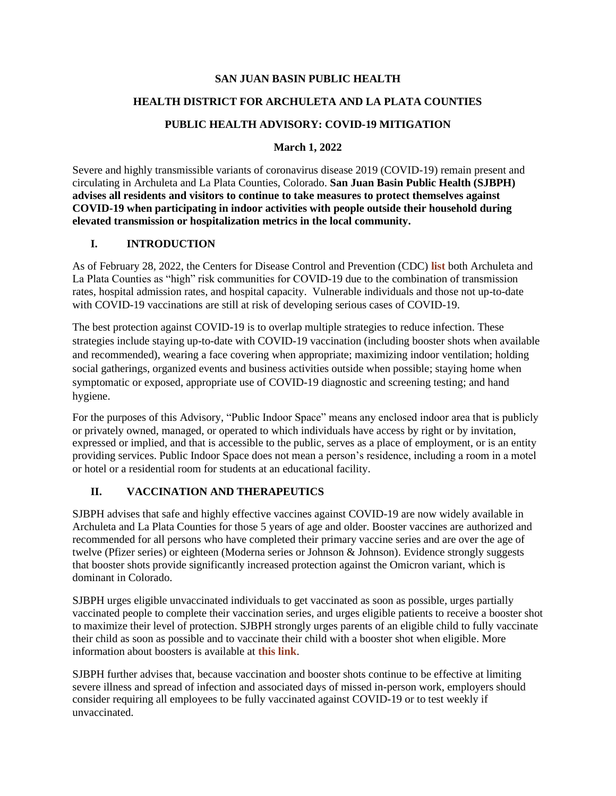#### **SAN JUAN BASIN PUBLIC HEALTH**

## **HEALTH DISTRICT FOR ARCHULETA AND LA PLATA COUNTIES**

### **PUBLIC HEALTH ADVISORY: COVID-19 MITIGATION**

### **March 1, 2022**

Severe and highly transmissible variants of coronavirus disease 2019 (COVID-19) remain present and circulating in Archuleta and La Plata Counties, Colorado. **San Juan Basin Public Health (SJBPH) advises all residents and visitors to continue to take measures to protect themselves against COVID-19 when participating in indoor activities with people outside their household during elevated transmission or hospitalization metrics in the local community.**

### **I. INTRODUCTION**

As of February 28, 2022, the Centers for Disease Control and Prevention (CDC) **[list](https://www.cdc.gov/coronavirus/2019-ncov/science/community-levels.html)** both Archuleta and La Plata Counties as "high" risk communities for COVID-19 due to the combination of transmission rates, hospital admission rates, and hospital capacity. Vulnerable individuals and those not up-to-date with COVID-19 vaccinations are still at risk of developing serious cases of COVID-19.

The best protection against COVID-19 is to overlap multiple strategies to reduce infection. These strategies include staying up-to-date with COVID-19 vaccination (including booster shots when available and recommended), wearing a face covering when appropriate; maximizing indoor ventilation; holding social gatherings, organized events and business activities outside when possible; staying home when symptomatic or exposed, appropriate use of COVID-19 diagnostic and screening testing; and hand hygiene.

For the purposes of this Advisory, "Public Indoor Space" means any enclosed indoor area that is publicly or privately owned, managed, or operated to which individuals have access by right or by invitation, expressed or implied, and that is accessible to the public, serves as a place of employment, or is an entity providing services. Public Indoor Space does not mean a person's residence, including a room in a motel or hotel or a residential room for students at an educational facility.

## **II. VACCINATION AND THERAPEUTICS**

SJBPH advises that safe and highly effective vaccines against COVID-19 are now widely available in Archuleta and La Plata Counties for those 5 years of age and older. Booster vaccines are authorized and recommended for all persons who have completed their primary vaccine series and are over the age of twelve (Pfizer series) or eighteen (Moderna series or Johnson & Johnson). Evidence strongly suggests that booster shots provide significantly increased protection against the Omicron variant, which is dominant in Colorado.

SJBPH urges eligible unvaccinated individuals to get vaccinated as soon as possible, urges partially vaccinated people to complete their vaccination series, and urges eligible patients to receive a booster shot to maximize their level of protection. SJBPH strongly urges parents of an eligible child to fully vaccinate their child as soon as possible and to vaccinate their child with a booster shot when eligible. More information about boosters is available at **[this link](https://www.cdc.gov/coronavirus/2019-ncov/vaccines/booster-shot.html?s_cid=11706:covid%20vaccine%20booster:sem.ga:p:RG:GM:gen:PTN:FY22)**.

SJBPH further advises that, because vaccination and booster shots continue to be effective at limiting severe illness and spread of infection and associated days of missed in-person work, employers should consider requiring all employees to be fully vaccinated against COVID-19 or to test weekly if unvaccinated.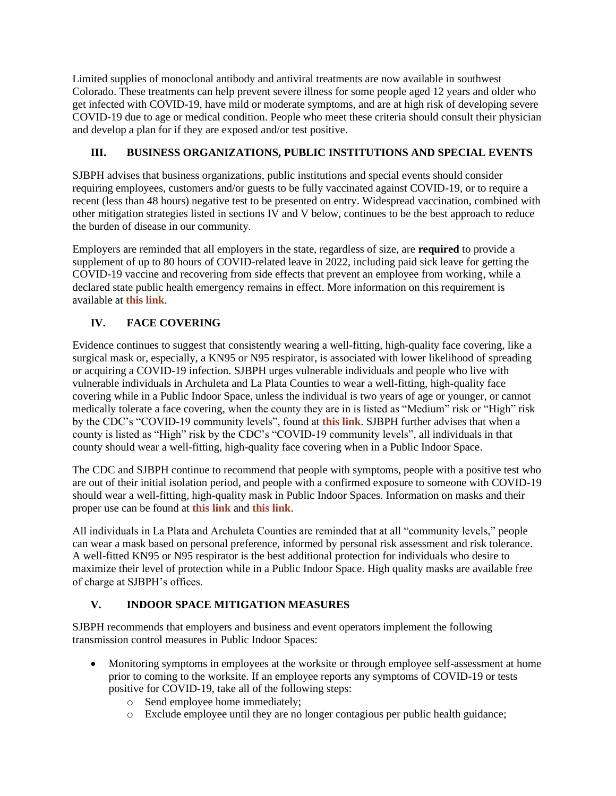Limited supplies of monoclonal antibody and antiviral treatments are now available in southwest Colorado. These treatments can help prevent severe illness for some people aged 12 years and older who get infected with COVID-19, have mild or moderate symptoms, and are at high risk of developing severe COVID-19 due to age or medical condition. People who meet these criteria should consult their physician and develop a plan for if they are exposed and/or test positive.

# **III. BUSINESS ORGANIZATIONS, PUBLIC INSTITUTIONS AND SPECIAL EVENTS**

SJBPH advises that business organizations, public institutions and special events should consider requiring employees, customers and/or guests to be fully vaccinated against COVID-19, or to require a recent (less than 48 hours) negative test to be presented on entry. Widespread vaccination, combined with other mitigation strategies listed in sections IV and V below, continues to be the best approach to reduce the burden of disease in our community.

Employers are reminded that all employers in the state, regardless of size, are **required** to provide a supplement of up to 80 hours of COVID-related leave in 2022, including paid sick leave for getting the COVID-19 vaccine and recovering from side effects that prevent an employee from working, while a declared state public health emergency remains in effect. More information on this requirement is available at **[this link](https://cdle.colorado.gov/sites/cdle/files/INFO%20%236B%20%284-8-21%29_%202021%20Paid%20Leave%20under%20HFWA.pdf)**.

## **IV. FACE COVERING**

Evidence continues to suggest that consistently wearing a well-fitting, high-quality face covering, like a surgical mask or, especially, a KN95 or N95 respirator, is associated with lower likelihood of spreading or acquiring a COVID-19 infection. SJBPH urges vulnerable individuals and people who live with vulnerable individuals in Archuleta and La Plata Counties to wear a well-fitting, high-quality face covering while in a Public Indoor Space, unless the individual is two years of age or younger, or cannot medically tolerate a face covering, when the county they are in is listed as "Medium" risk or "High" risk by the CDC's "COVID-19 community levels", found at **[this link](https://www.cdc.gov/coronavirus/2019-ncov/science/community-levels.html)**. SJBPH further advises that when a county is listed as "High" risk by the CDC's "COVID-19 community levels", all individuals in that county should wear a well-fitting, high-quality face covering when in a Public Indoor Space.

The CDC and SJBPH continue to recommend that people with symptoms, people with a positive test who are out of their initial isolation period, and people with a confirmed exposure to someone with COVID-19 should wear a well-fitting, high-quality mask in Public Indoor Spaces. Information on masks and their proper use can be found at **[this link](https://www.cdc.gov/coronavirus/2019-ncov/prevent-getting-sick/about-face-coverings.html)** and **[this link](https://www.cdc.gov/coronavirus/2019-ncov/your-health/effective-masks.html)**.

All individuals in La Plata and Archuleta Counties are reminded that at all "community levels," people can wear a mask based on personal preference, informed by personal risk assessment and risk tolerance. A well-fitted KN95 or N95 respirator is the best additional protection for individuals who desire to maximize their level of protection while in a Public Indoor Space. High quality masks are available free of charge at SJBPH's offices.

## **V. INDOOR SPACE MITIGATION MEASURES**

SJBPH recommends that employers and business and event operators implement the following transmission control measures in Public Indoor Spaces:

- Monitoring symptoms in employees at the worksite or through employee self-assessment at home prior to coming to the worksite. If an employee reports any symptoms of COVID-19 or tests positive for COVID-19, take all of the following steps:
	- o Send employee home immediately;
	- o Exclude employee until they are no longer contagious per public health guidance;